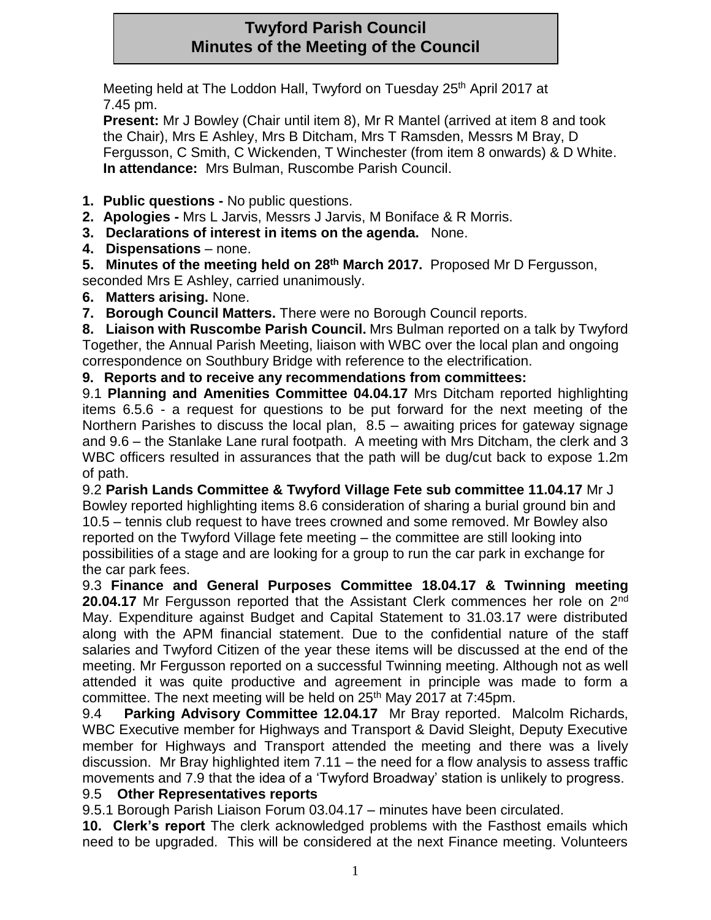# **Twyford Parish Council Minutes of the Meeting of the Council**

Meeting held at The Loddon Hall, Twyford on Tuesday 25<sup>th</sup> April 2017 at 7.45 pm.

**Present:** Mr J Bowley (Chair until item 8), Mr R Mantel (arrived at item 8 and took the Chair), Mrs E Ashley, Mrs B Ditcham, Mrs T Ramsden, Messrs M Bray, D Fergusson, C Smith, C Wickenden, T Winchester (from item 8 onwards) & D White. **In attendance:** Mrs Bulman, Ruscombe Parish Council.

- **1. Public questions -** No public questions.
- **2. Apologies -** Mrs L Jarvis, Messrs J Jarvis, M Boniface & R Morris.
- **3. Declarations of interest in items on the agenda.** None.
- **4. Dispensations** none.

**5. Minutes of the meeting held on 28th March 2017.** Proposed Mr D Fergusson, seconded Mrs E Ashley, carried unanimously.

**6. Matters arising.** None.

**7. Borough Council Matters.** There were no Borough Council reports.

**8. Liaison with Ruscombe Parish Council.** Mrs Bulman reported on a talk by Twyford Together, the Annual Parish Meeting, liaison with WBC over the local plan and ongoing correspondence on Southbury Bridge with reference to the electrification.

### **9. Reports and to receive any recommendations from committees:**

9.1 **Planning and Amenities Committee 04.04.17** Mrs Ditcham reported highlighting items 6.5.6 - a request for questions to be put forward for the next meeting of the Northern Parishes to discuss the local plan, 8.5 – awaiting prices for gateway signage and 9.6 – the Stanlake Lane rural footpath. A meeting with Mrs Ditcham, the clerk and 3 WBC officers resulted in assurances that the path will be dug/cut back to expose 1.2m of path.

9.2 **Parish Lands Committee & Twyford Village Fete sub committee 11.04.17** Mr J Bowley reported highlighting items 8.6 consideration of sharing a burial ground bin and 10.5 – tennis club request to have trees crowned and some removed. Mr Bowley also reported on the Twyford Village fete meeting – the committee are still looking into possibilities of a stage and are looking for a group to run the car park in exchange for the car park fees.

9.3 **Finance and General Purposes Committee 18.04.17 & Twinning meeting 20.04.17** Mr Fergusson reported that the Assistant Clerk commences her role on 2nd May. Expenditure against Budget and Capital Statement to 31.03.17 were distributed along with the APM financial statement. Due to the confidential nature of the staff salaries and Twyford Citizen of the year these items will be discussed at the end of the meeting. Mr Fergusson reported on a successful Twinning meeting. Although not as well attended it was quite productive and agreement in principle was made to form a committee. The next meeting will be held on 25<sup>th</sup> May 2017 at 7:45pm.

9.4 **Parking Advisory Committee 12.04.17** Mr Bray reported. Malcolm Richards, WBC Executive member for Highways and Transport & David Sleight, Deputy Executive member for Highways and Transport attended the meeting and there was a lively discussion. Mr Bray highlighted item 7.11 – the need for a flow analysis to assess traffic movements and 7.9 that the idea of a 'Twyford Broadway' station is unlikely to progress.

### 9.5 **Other Representatives reports**

9.5.1 Borough Parish Liaison Forum 03.04.17 – minutes have been circulated.

**10. Clerk's report** The clerk acknowledged problems with the Fasthost emails which need to be upgraded. This will be considered at the next Finance meeting. Volunteers